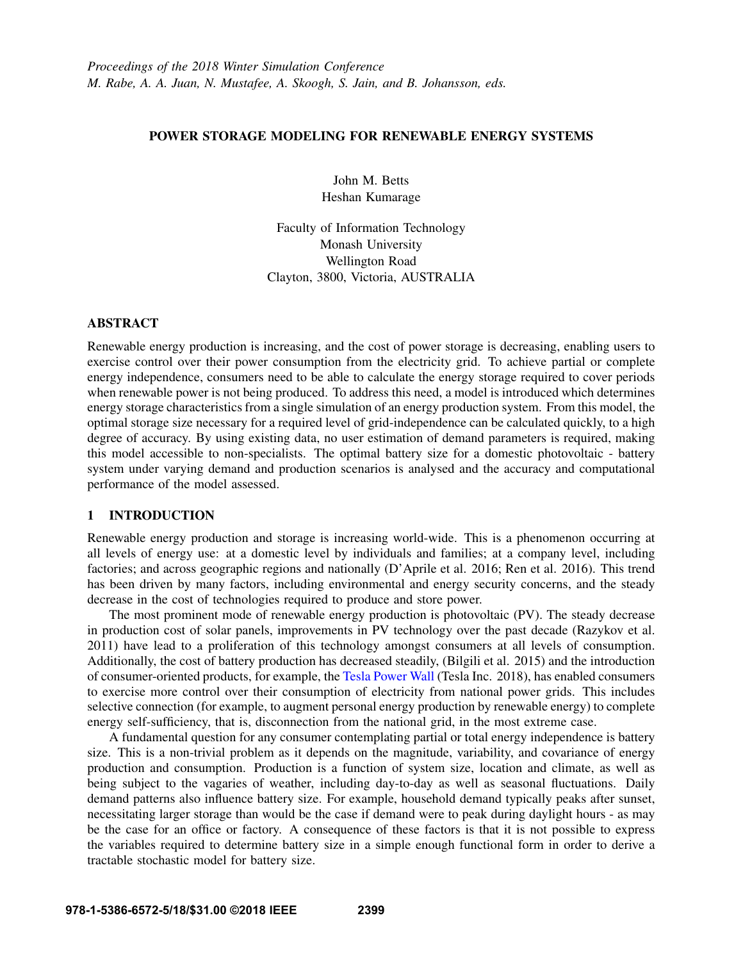## POWER STORAGE MODELING FOR RENEWABLE ENERGY SYSTEMS

John M. Betts Heshan Kumarage

Faculty of Information Technology Monash University Wellington Road Clayton, 3800, Victoria, AUSTRALIA

### ABSTRACT

Renewable energy production is increasing, and the cost of power storage is decreasing, enabling users to exercise control over their power consumption from the electricity grid. To achieve partial or complete energy independence, consumers need to be able to calculate the energy storage required to cover periods when renewable power is not being produced. To address this need, a model is introduced which determines energy storage characteristics from a single simulation of an energy production system. From this model, the optimal storage size necessary for a required level of grid-independence can be calculated quickly, to a high degree of accuracy. By using existing data, no user estimation of demand parameters is required, making this model accessible to non-specialists. The optimal battery size for a domestic photovoltaic - battery system under varying demand and production scenarios is analysed and the accuracy and computational performance of the model assessed.

### 1 INTRODUCTION

Renewable energy production and storage is increasing world-wide. This is a phenomenon occurring at all levels of energy use: at a domestic level by individuals and families; at a company level, including factories; and across geographic regions and nationally (D'Aprile et al. 2016; Ren et al. 2016). This trend has been driven by many factors, including environmental and energy security concerns, and the steady decrease in the cost of technologies required to produce and store power.

The most prominent mode of renewable energy production is photovoltaic (PV). The steady decrease in production cost of solar panels, improvements in PV technology over the past decade (Razykov et al. 2011) have lead to a proliferation of this technology amongst consumers at all levels of consumption. Additionally, the cost of battery production has decreased steadily, (Bilgili et al. 2015) and the introduction of consumer-oriented products, for example, the Tesla Power Wall (Tesla Inc. 2018), has enabled consumers to exercise more control over their consumption of electricity from national power grids. This includes selective connection (for example, to augment personal energy production by renewable energy) to complete energy self-sufficiency, that is, disconnection from the national grid, in the most extreme case.

A fundamental question for any consumer contemplating partial or total energy independence is battery size. This is a non-trivial problem as it depends on the magnitude, variability, and covariance of energy production and consumption. Production is a function of system size, location and climate, as well as being subject to the vagaries of weather, including day-to-day as well as seasonal fluctuations. Daily demand patterns also influence battery size. For example, household demand typically peaks after sunset, necessitating larger storage than would be the case if demand were to peak during daylight hours - as may be the case for an office or factory. A consequence of these factors is that it is not possible to express the variables required to determine battery size in a simple enough functional form in order to derive a tractable stochastic model for battery size.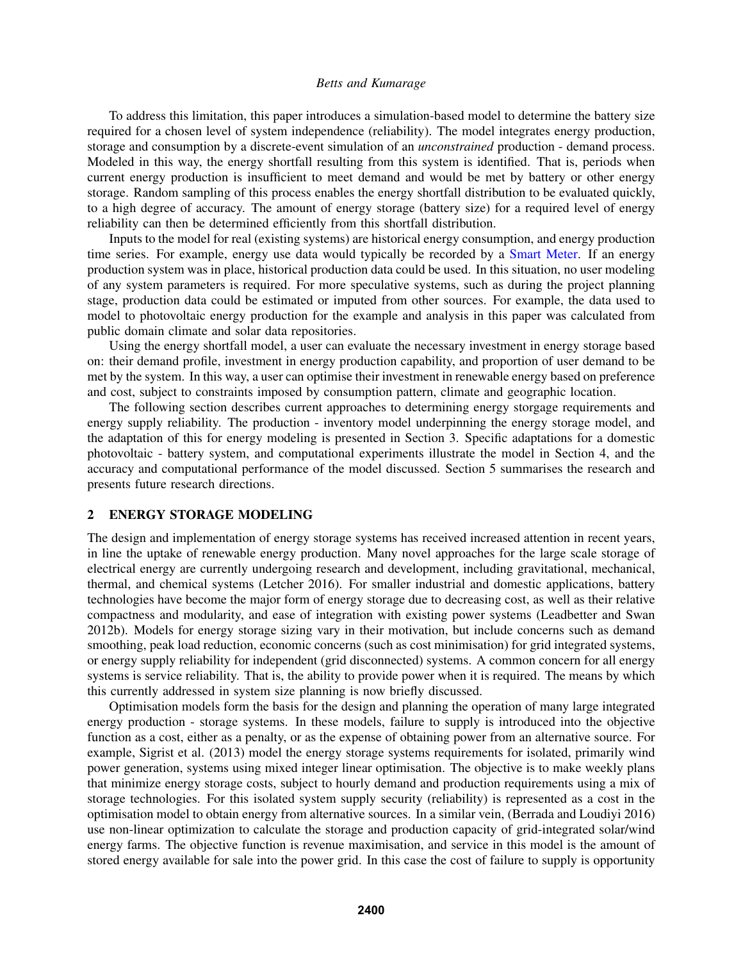To address this limitation, this paper introduces a simulation-based model to determine the battery size required for a chosen level of system independence (reliability). The model integrates energy production, storage and consumption by a discrete-event simulation of an *unconstrained* production - demand process. Modeled in this way, the energy shortfall resulting from this system is identified. That is, periods when current energy production is insufficient to meet demand and would be met by battery or other energy storage. Random sampling of this process enables the energy shortfall distribution to be evaluated quickly, to a high degree of accuracy. The amount of energy storage (battery size) for a required level of energy reliability can then be determined efficiently from this shortfall distribution.

Inputs to the model for real (existing systems) are historical energy consumption, and energy production time series. For example, energy use data would typically be recorded by a Smart Meter. If an energy production system was in place, historical production data could be used. In this situation, no user modeling of any system parameters is required. For more speculative systems, such as during the project planning stage, production data could be estimated or imputed from other sources. For example, the data used to model to photovoltaic energy production for the example and analysis in this paper was calculated from public domain climate and solar data repositories.

Using the energy shortfall model, a user can evaluate the necessary investment in energy storage based on: their demand profile, investment in energy production capability, and proportion of user demand to be met by the system. In this way, a user can optimise their investment in renewable energy based on preference and cost, subject to constraints imposed by consumption pattern, climate and geographic location.

The following section describes current approaches to determining energy storgage requirements and energy supply reliability. The production - inventory model underpinning the energy storage model, and the adaptation of this for energy modeling is presented in Section 3. Specific adaptations for a domestic photovoltaic - battery system, and computational experiments illustrate the model in Section 4, and the accuracy and computational performance of the model discussed. Section 5 summarises the research and presents future research directions.

## 2 ENERGY STORAGE MODELING

The design and implementation of energy storage systems has received increased attention in recent years, in line the uptake of renewable energy production. Many novel approaches for the large scale storage of electrical energy are currently undergoing research and development, including gravitational, mechanical, thermal, and chemical systems (Letcher 2016). For smaller industrial and domestic applications, battery technologies have become the major form of energy storage due to decreasing cost, as well as their relative compactness and modularity, and ease of integration with existing power systems (Leadbetter and Swan 2012b). Models for energy storage sizing vary in their motivation, but include concerns such as demand smoothing, peak load reduction, economic concerns (such as cost minimisation) for grid integrated systems, or energy supply reliability for independent (grid disconnected) systems. A common concern for all energy systems is service reliability. That is, the ability to provide power when it is required. The means by which this currently addressed in system size planning is now briefly discussed.

Optimisation models form the basis for the design and planning the operation of many large integrated energy production - storage systems. In these models, failure to supply is introduced into the objective function as a cost, either as a penalty, or as the expense of obtaining power from an alternative source. For example, Sigrist et al. (2013) model the energy storage systems requirements for isolated, primarily wind power generation, systems using mixed integer linear optimisation. The objective is to make weekly plans that minimize energy storage costs, subject to hourly demand and production requirements using a mix of storage technologies. For this isolated system supply security (reliability) is represented as a cost in the optimisation model to obtain energy from alternative sources. In a similar vein, (Berrada and Loudiyi 2016) use non-linear optimization to calculate the storage and production capacity of grid-integrated solar/wind energy farms. The objective function is revenue maximisation, and service in this model is the amount of stored energy available for sale into the power grid. In this case the cost of failure to supply is opportunity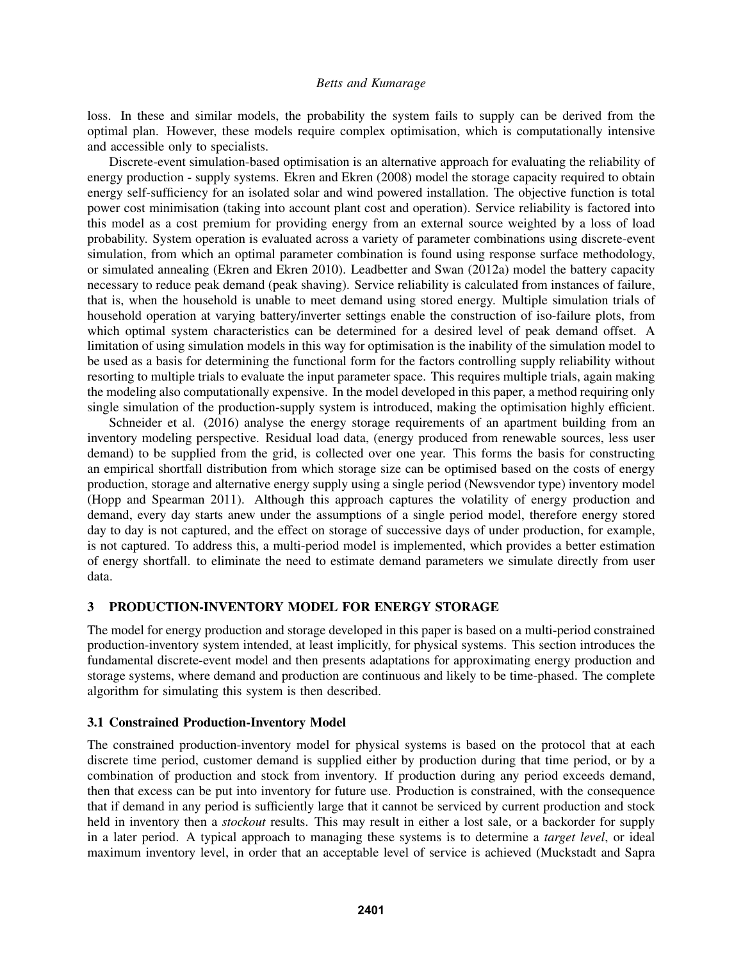loss. In these and similar models, the probability the system fails to supply can be derived from the optimal plan. However, these models require complex optimisation, which is computationally intensive and accessible only to specialists.

Discrete-event simulation-based optimisation is an alternative approach for evaluating the reliability of energy production - supply systems. Ekren and Ekren (2008) model the storage capacity required to obtain energy self-sufficiency for an isolated solar and wind powered installation. The objective function is total power cost minimisation (taking into account plant cost and operation). Service reliability is factored into this model as a cost premium for providing energy from an external source weighted by a loss of load probability. System operation is evaluated across a variety of parameter combinations using discrete-event simulation, from which an optimal parameter combination is found using response surface methodology, or simulated annealing (Ekren and Ekren 2010). Leadbetter and Swan (2012a) model the battery capacity necessary to reduce peak demand (peak shaving). Service reliability is calculated from instances of failure, that is, when the household is unable to meet demand using stored energy. Multiple simulation trials of household operation at varying battery/inverter settings enable the construction of iso-failure plots, from which optimal system characteristics can be determined for a desired level of peak demand offset. A limitation of using simulation models in this way for optimisation is the inability of the simulation model to be used as a basis for determining the functional form for the factors controlling supply reliability without resorting to multiple trials to evaluate the input parameter space. This requires multiple trials, again making the modeling also computationally expensive. In the model developed in this paper, a method requiring only single simulation of the production-supply system is introduced, making the optimisation highly efficient.

Schneider et al. (2016) analyse the energy storage requirements of an apartment building from an inventory modeling perspective. Residual load data, (energy produced from renewable sources, less user demand) to be supplied from the grid, is collected over one year. This forms the basis for constructing an empirical shortfall distribution from which storage size can be optimised based on the costs of energy production, storage and alternative energy supply using a single period (Newsvendor type) inventory model (Hopp and Spearman 2011). Although this approach captures the volatility of energy production and demand, every day starts anew under the assumptions of a single period model, therefore energy stored day to day is not captured, and the effect on storage of successive days of under production, for example, is not captured. To address this, a multi-period model is implemented, which provides a better estimation of energy shortfall. to eliminate the need to estimate demand parameters we simulate directly from user data.

# 3 PRODUCTION-INVENTORY MODEL FOR ENERGY STORAGE

The model for energy production and storage developed in this paper is based on a multi-period constrained production-inventory system intended, at least implicitly, for physical systems. This section introduces the fundamental discrete-event model and then presents adaptations for approximating energy production and storage systems, where demand and production are continuous and likely to be time-phased. The complete algorithm for simulating this system is then described.

## 3.1 Constrained Production-Inventory Model

The constrained production-inventory model for physical systems is based on the protocol that at each discrete time period, customer demand is supplied either by production during that time period, or by a combination of production and stock from inventory. If production during any period exceeds demand, then that excess can be put into inventory for future use. Production is constrained, with the consequence that if demand in any period is sufficiently large that it cannot be serviced by current production and stock held in inventory then a *stockout* results. This may result in either a lost sale, or a backorder for supply in a later period. A typical approach to managing these systems is to determine a *target level*, or ideal maximum inventory level, in order that an acceptable level of service is achieved (Muckstadt and Sapra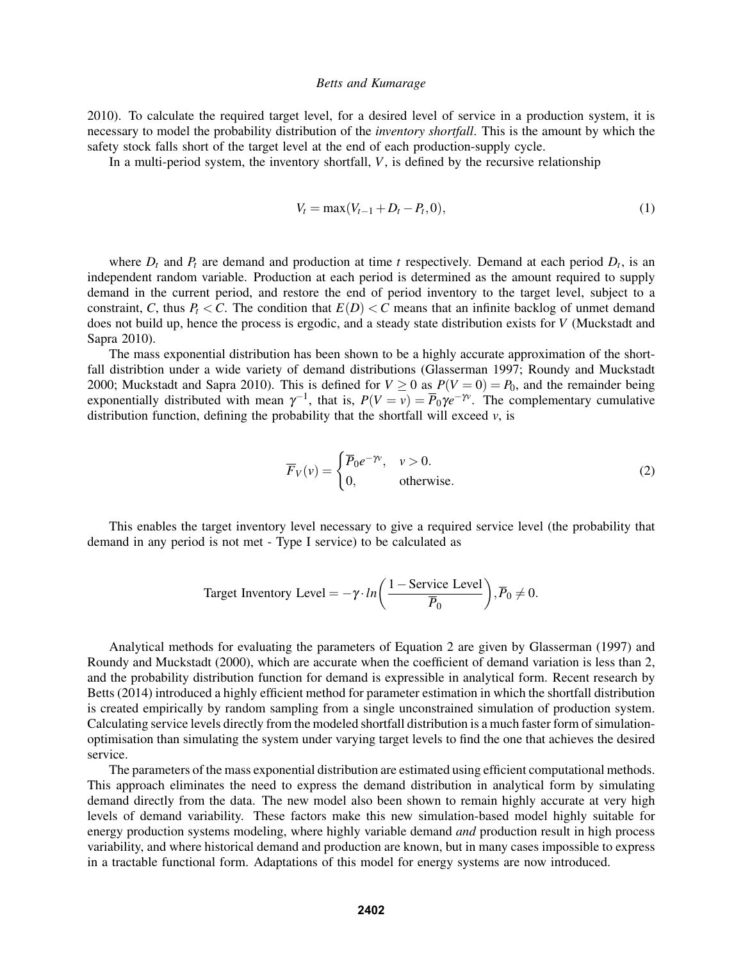2010). To calculate the required target level, for a desired level of service in a production system, it is necessary to model the probability distribution of the *inventory shortfall*. This is the amount by which the safety stock falls short of the target level at the end of each production-supply cycle.

In a multi-period system, the inventory shortfall, *V*, is defined by the recursive relationship

$$
V_t = \max(V_{t-1} + D_t - P_t, 0),\tag{1}
$$

where  $D_t$  and  $P_t$  are demand and production at time  $t$  respectively. Demand at each period  $D_t$ , is an independent random variable. Production at each period is determined as the amount required to supply demand in the current period, and restore the end of period inventory to the target level, subject to a constraint, *C*, thus  $P_t \leq C$ . The condition that  $E(D) \leq C$  means that an infinite backlog of unmet demand does not build up, hence the process is ergodic, and a steady state distribution exists for *V* (Muckstadt and Sapra 2010).

The mass exponential distribution has been shown to be a highly accurate approximation of the shortfall distribtion under a wide variety of demand distributions (Glasserman 1997; Roundy and Muckstadt 2000; Muckstadt and Sapra 2010). This is defined for  $V \ge 0$  as  $P(V = 0) = P_0$ , and the remainder being exponentially distributed with mean  $\gamma^{-1}$ , that is,  $P(V = v) = \overline{P}_0 \gamma e^{-\gamma v}$ . The complementary cumulative distribution function, defining the probability that the shortfall will exceed  $v$ , is

$$
\overline{F}_V(v) = \begin{cases} \overline{P}_0 e^{-\gamma v}, & v > 0. \\ 0, & \text{otherwise.} \end{cases}
$$
 (2)

This enables the target inventory level necessary to give a required service level (the probability that demand in any period is not met - Type I service) to be calculated as

Target Inventory Level = 
$$
-\gamma \cdot ln\left(\frac{1-\text{Service Level}}{\overline{P}_0}\right), \overline{P}_0 \neq 0.
$$

Analytical methods for evaluating the parameters of Equation 2 are given by Glasserman (1997) and Roundy and Muckstadt (2000), which are accurate when the coefficient of demand variation is less than 2, and the probability distribution function for demand is expressible in analytical form. Recent research by Betts (2014) introduced a highly efficient method for parameter estimation in which the shortfall distribution is created empirically by random sampling from a single unconstrained simulation of production system. Calculating service levels directly from the modeled shortfall distribution is a much faster form of simulationoptimisation than simulating the system under varying target levels to find the one that achieves the desired service.

The parameters of the mass exponential distribution are estimated using efficient computational methods. This approach eliminates the need to express the demand distribution in analytical form by simulating demand directly from the data. The new model also been shown to remain highly accurate at very high levels of demand variability. These factors make this new simulation-based model highly suitable for energy production systems modeling, where highly variable demand *and* production result in high process variability, and where historical demand and production are known, but in many cases impossible to express in a tractable functional form. Adaptations of this model for energy systems are now introduced.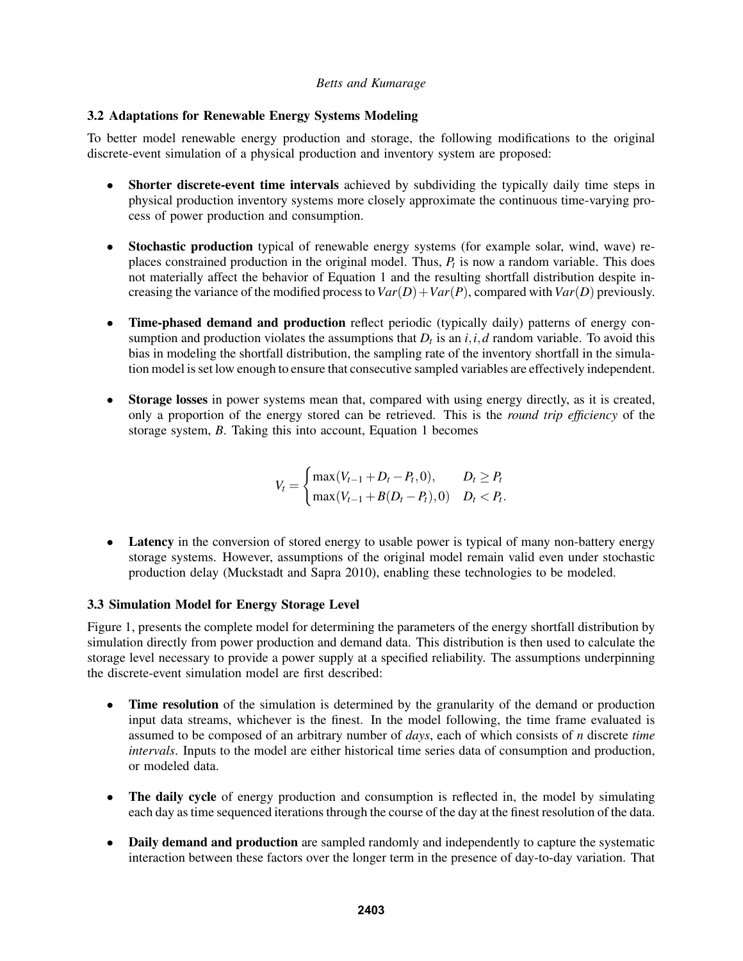# 3.2 Adaptations for Renewable Energy Systems Modeling

To better model renewable energy production and storage, the following modifications to the original discrete-event simulation of a physical production and inventory system are proposed:

- Shorter discrete-event time intervals achieved by subdividing the typically daily time steps in physical production inventory systems more closely approximate the continuous time-varying process of power production and consumption.
- Stochastic production typical of renewable energy systems (for example solar, wind, wave) replaces constrained production in the original model. Thus,  $P_t$  is now a random variable. This does not materially affect the behavior of Equation 1 and the resulting shortfall distribution despite increasing the variance of the modified process to  $Var(D) + Var(P)$ , compared with  $Var(D)$  previously.
- Time-phased demand and production reflect periodic (typically daily) patterns of energy consumption and production violates the assumptions that  $D_t$  is an  $i, i, d$  random variable. To avoid this bias in modeling the shortfall distribution, the sampling rate of the inventory shortfall in the simulation model is set low enough to ensure that consecutive sampled variables are effectively independent.
- Storage losses in power systems mean that, compared with using energy directly, as it is created, only a proportion of the energy stored can be retrieved. This is the *round trip efficiency* of the storage system, *B*. Taking this into account, Equation 1 becomes

$$
V_t = \begin{cases} \max(V_{t-1} + D_t - P_t, 0), & D_t \ge P_t \\ \max(V_{t-1} + B(D_t - P_t), 0) & D_t < P_t. \end{cases}
$$

• Latency in the conversion of stored energy to usable power is typical of many non-battery energy storage systems. However, assumptions of the original model remain valid even under stochastic production delay (Muckstadt and Sapra 2010), enabling these technologies to be modeled.

# 3.3 Simulation Model for Energy Storage Level

Figure 1, presents the complete model for determining the parameters of the energy shortfall distribution by simulation directly from power production and demand data. This distribution is then used to calculate the storage level necessary to provide a power supply at a specified reliability. The assumptions underpinning the discrete-event simulation model are first described:

- Time resolution of the simulation is determined by the granularity of the demand or production input data streams, whichever is the finest. In the model following, the time frame evaluated is assumed to be composed of an arbitrary number of *days*, each of which consists of *n* discrete *time intervals*. Inputs to the model are either historical time series data of consumption and production, or modeled data.
- The daily cycle of energy production and consumption is reflected in, the model by simulating each day as time sequenced iterations through the course of the day at the finest resolution of the data.
- Daily demand and production are sampled randomly and independently to capture the systematic interaction between these factors over the longer term in the presence of day-to-day variation. That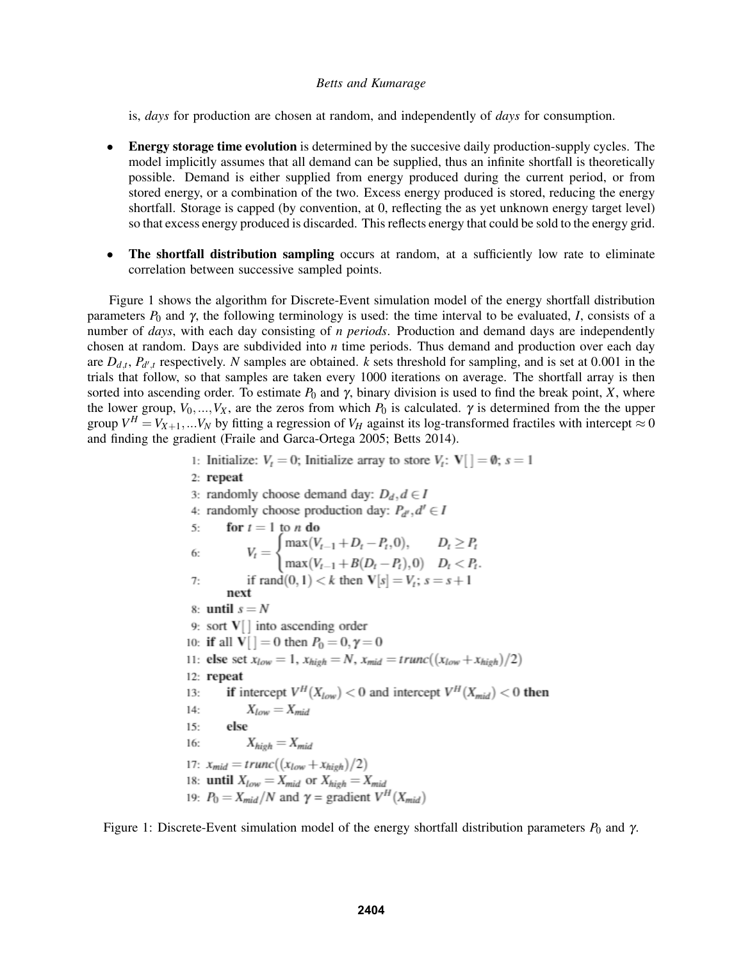is, *days* for production are chosen at random, and independently of *days* for consumption.

- Energy storage time evolution is determined by the succesive daily production-supply cycles. The model implicitly assumes that all demand can be supplied, thus an infinite shortfall is theoretically possible. Demand is either supplied from energy produced during the current period, or from stored energy, or a combination of the two. Excess energy produced is stored, reducing the energy shortfall. Storage is capped (by convention, at 0, reflecting the as yet unknown energy target level) so that excess energy produced is discarded. This reflects energy that could be sold to the energy grid.
- The shortfall distribution sampling occurs at random, at a sufficiently low rate to eliminate correlation between successive sampled points.

Figure 1 shows the algorithm for Discrete-Event simulation model of the energy shortfall distribution parameters  $P_0$  and  $\gamma$ , the following terminology is used: the time interval to be evaluated, *I*, consists of a number of *days*, with each day consisting of *n periods*. Production and demand days are independently chosen at random. Days are subdivided into *n* time periods. Thus demand and production over each day are  $D_{d,t}$ ,  $P_{d',t}$  respectively. *N* samples are obtained. *k* sets threshold for sampling, and is set at 0.001 in the trials that follow, so that samples are taken every 1000 iterations on average. The shortfall array is then sorted into ascending order. To estimate  $P_0$  and  $\gamma$ , binary division is used to find the break point, *X*, where the lower group,  $V_0, ..., V_X$ , are the zeros from which  $P_0$  is calculated.  $\gamma$  is determined from the the upper group  $V^H = V_{X+1},...V_N$  by fitting a regression of  $V_H$  against its log-transformed fractiles with intercept  $\approx 0$ and finding the gradient (Fraile and Garca-Ortega 2005; Betts 2014).

\n- 1: Initialize: 
$$
V_t = 0
$$
; Initialize array to store  $V_t$ :  $\mathbf{V}[] = \mathbf{0}$ ;  $s = 1$
\n- 2: **repeat**
\n- 3: randomly choose demand day:  $D_d, d \in I$
\n- 4: randomly choose production day:  $P_{d'}, d' \in I$
\n- 5: **for**  $t = 1$  to *n* **do**
\n- 6:  $V_t = \begin{cases} \max(V_{t-1} + D_t - P_t, 0), & D_t \ge P_t \\ \max(V_{t-1} + B(D_t - P_t), 0) & D_t < P_t. \end{cases}$
\n- 7: if  $rand(0, 1) < k$  then  $\mathbf{V}[s] = V_t$ ;  $s = s + 1$
\n- next
\n- 8: **until**  $s = N$
\n- 9: sort  $\mathbf{V}[]$  into ascending order
\n- 10: **if** all  $\mathbf{V}[] = 0$  then  $P_0 = 0, \gamma = 0$
\n- 11: **else** set  $x_{low} = 1$ ,  $x_{high} = N$ ,  $x_{mid} = \text{trunc}((x_{low} + x_{high})/2)$
\n- 12: **repeat**
\n- 13: **if** intercept  $V^H(X_{low}) < 0$  and intercept  $V^H(X_{mid}) < 0$  **then** 14:  $X_{low} = X_{mid}$
\n- 15: **else**
\n- 16:  $X_{high} = X_{mid}$
\n- 17:  $x_{mid} = \text{trunc}((x_{low} + x_{high})/2)$
\n- 18: **until**  $X_{low} = X_{mid}$  or  $X_{high} = X_{mid}$
\n

Figure 1: Discrete-Event simulation model of the energy shortfall distribution parameters  $P_0$  and γ.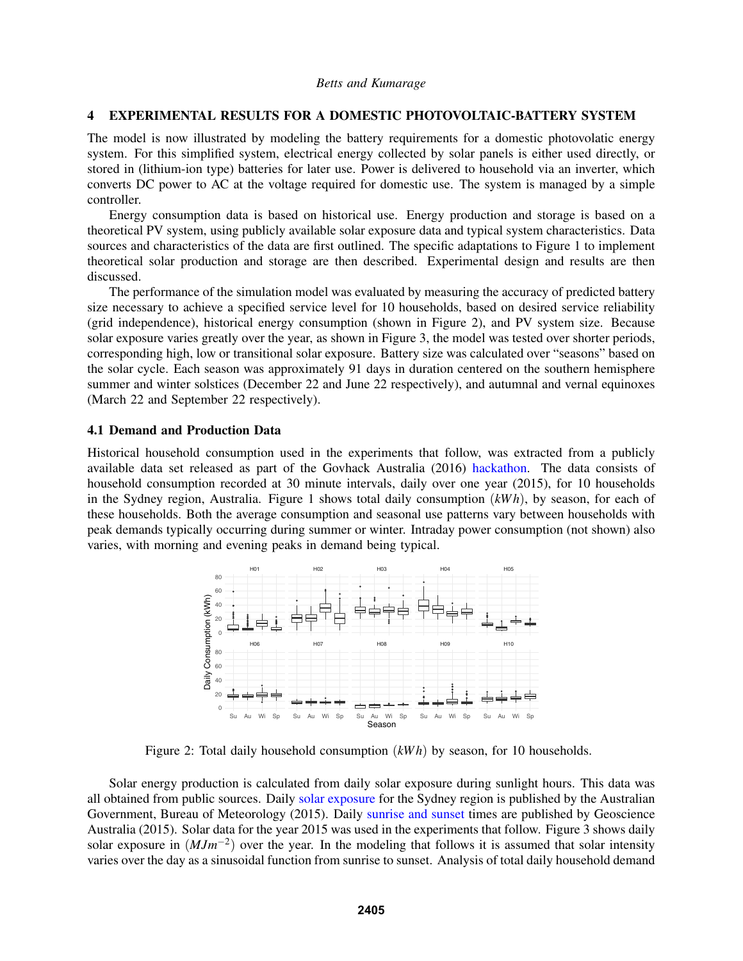## 4 EXPERIMENTAL RESULTS FOR A DOMESTIC PHOTOVOLTAIC-BATTERY SYSTEM

The model is now illustrated by modeling the battery requirements for a domestic photovolatic energy system. For this simplified system, electrical energy collected by solar panels is either used directly, or stored in (lithium-ion type) batteries for later use. Power is delivered to household via an inverter, which converts DC power to AC at the voltage required for domestic use. The system is managed by a simple controller.

Energy consumption data is based on historical use. Energy production and storage is based on a theoretical PV system, using publicly available solar exposure data and typical system characteristics. Data sources and characteristics of the data are first outlined. The specific adaptations to Figure 1 to implement theoretical solar production and storage are then described. Experimental design and results are then discussed.

The performance of the simulation model was evaluated by measuring the accuracy of predicted battery size necessary to achieve a specified service level for 10 households, based on desired service reliability (grid independence), historical energy consumption (shown in Figure 2), and PV system size. Because solar exposure varies greatly over the year, as shown in Figure 3, the model was tested over shorter periods, corresponding high, low or transitional solar exposure. Battery size was calculated over "seasons" based on the solar cycle. Each season was approximately 91 days in duration centered on the southern hemisphere summer and winter solstices (December 22 and June 22 respectively), and autumnal and vernal equinoxes (March 22 and September 22 respectively).

### 4.1 Demand and Production Data

Historical household consumption used in the experiments that follow, was extracted from a publicly available data set released as part of the Govhack Australia (2016) hackathon. The data consists of household consumption recorded at 30 minute intervals, daily over one year (2015), for 10 households in the Sydney region, Australia. Figure 1 shows total daily consumption (*kW h*), by season, for each of these households. Both the average consumption and seasonal use patterns vary between households with peak demands typically occurring during summer or winter. Intraday power consumption (not shown) also varies, with morning and evening peaks in demand being typical.



Figure 2: Total daily household consumption  $(kWh)$  by season, for 10 households.

Solar energy production is calculated from daily solar exposure during sunlight hours. This data was all obtained from public sources. Daily solar exposure for the Sydney region is published by the Australian Government, Bureau of Meteorology (2015). Daily sunrise and sunset times are published by Geoscience Australia (2015). Solar data for the year 2015 was used in the experiments that follow. Figure 3 shows daily solar exposure in  $(MJm^{-2})$  over the year. In the modeling that follows it is assumed that solar intensity varies over the day as a sinusoidal function from sunrise to sunset. Analysis of total daily household demand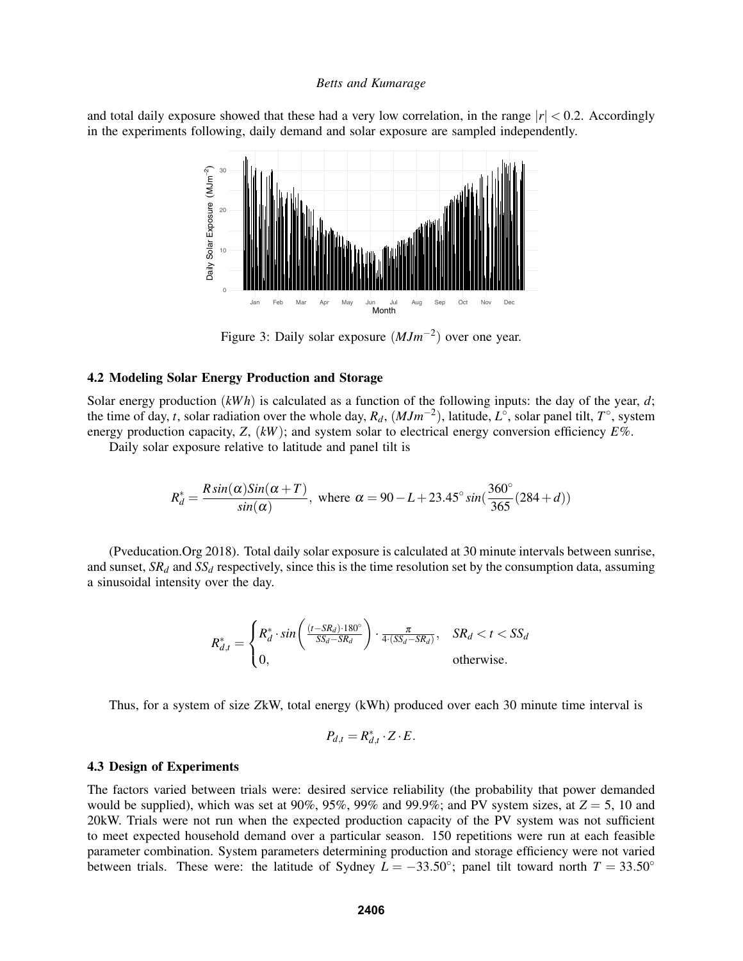and total daily exposure showed that these had a very low correlation, in the range  $|r| < 0.2$ . Accordingly in the experiments following, daily demand and solar exposure are sampled independently.



Figure 3: Daily solar exposure (*MJm*−<sup>2</sup> ) over one year.

#### 4.2 Modeling Solar Energy Production and Storage

Solar energy production  $(kWh)$  is calculated as a function of the following inputs: the day of the year, *d*; the time of day, *t*, solar radiation over the whole day,  $R_d$ ,  $(MJm^{-2})$ , latitude,  $L^{\circ}$ , solar panel tilt,  $T^{\circ}$ , system energy production capacity,  $Z$ ,  $(kW)$ ; and system solar to electrical energy conversion efficiency  $E\%$ .

Daily solar exposure relative to latitude and panel tilt is

$$
R_d^* = \frac{R\sin(\alpha)\sin(\alpha + T)}{\sin(\alpha)},
$$
 where  $\alpha = 90 - L + 23.45^\circ \sin(\frac{360^\circ}{365}(284 + d))$ 

(Pveducation.Org 2018). Total daily solar exposure is calculated at 30 minute intervals between sunrise, and sunset,  $SR_d$  and  $SS_d$  respectively, since this is the time resolution set by the consumption data, assuming a sinusoidal intensity over the day.

$$
R_{d,t}^* = \begin{cases} R_d^* \cdot \sin\left(\frac{(t - SR_d) \cdot 180^\circ}{SS_d - SR_d}\right) \cdot \frac{\pi}{4 \cdot (SS_d - SR_d)}, & SR_d < t < SS_d\\ 0, & \text{otherwise.} \end{cases}
$$

Thus, for a system of size *Z*kW, total energy (kWh) produced over each 30 minute time interval is

$$
P_{d,t} = R_{d,t}^* \cdot Z \cdot E.
$$

#### 4.3 Design of Experiments

The factors varied between trials were: desired service reliability (the probability that power demanded would be supplied), which was set at 90%, 95%, 99% and 99.9%; and PV system sizes, at  $Z = 5$ , 10 and 20kW. Trials were not run when the expected production capacity of the PV system was not sufficient to meet expected household demand over a particular season. 150 repetitions were run at each feasible parameter combination. System parameters determining production and storage efficiency were not varied between trials. These were: the latitude of Sydney  $L = -33.50^{\circ}$ ; panel tilt toward north  $T = 33.50^{\circ}$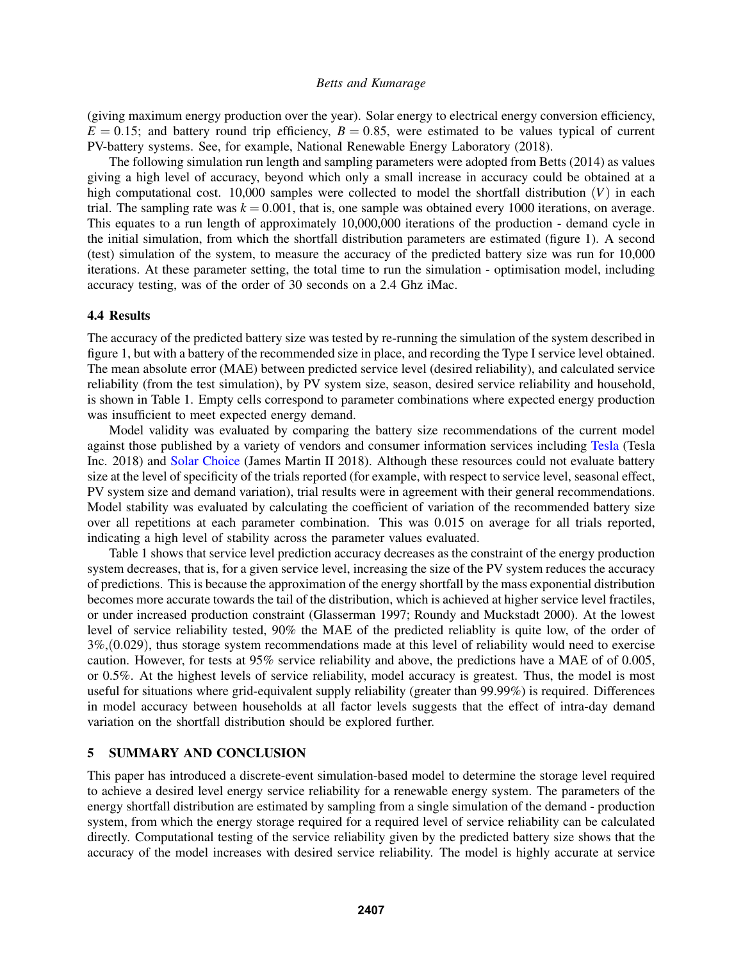(giving maximum energy production over the year). Solar energy to electrical energy conversion efficiency,  $E = 0.15$ ; and battery round trip efficiency,  $B = 0.85$ , were estimated to be values typical of current PV-battery systems. See, for example, National Renewable Energy Laboratory (2018).

The following simulation run length and sampling parameters were adopted from Betts (2014) as values giving a high level of accuracy, beyond which only a small increase in accuracy could be obtained at a high computational cost. 10,000 samples were collected to model the shortfall distribution (*V*) in each trial. The sampling rate was  $k = 0.001$ , that is, one sample was obtained every 1000 iterations, on average. This equates to a run length of approximately 10,000,000 iterations of the production - demand cycle in the initial simulation, from which the shortfall distribution parameters are estimated (figure 1). A second (test) simulation of the system, to measure the accuracy of the predicted battery size was run for 10,000 iterations. At these parameter setting, the total time to run the simulation - optimisation model, including accuracy testing, was of the order of 30 seconds on a 2.4 Ghz iMac.

### 4.4 Results

The accuracy of the predicted battery size was tested by re-running the simulation of the system described in figure 1, but with a battery of the recommended size in place, and recording the Type I service level obtained. The mean absolute error (MAE) between predicted service level (desired reliability), and calculated service reliability (from the test simulation), by PV system size, season, desired service reliability and household, is shown in Table 1. Empty cells correspond to parameter combinations where expected energy production was insufficient to meet expected energy demand.

Model validity was evaluated by comparing the battery size recommendations of the current model against those published by a variety of vendors and consumer information services including Tesla (Tesla Inc. 2018) and Solar Choice (James Martin II 2018). Although these resources could not evaluate battery size at the level of specificity of the trials reported (for example, with respect to service level, seasonal effect, PV system size and demand variation), trial results were in agreement with their general recommendations. Model stability was evaluated by calculating the coefficient of variation of the recommended battery size over all repetitions at each parameter combination. This was 0.015 on average for all trials reported, indicating a high level of stability across the parameter values evaluated.

Table 1 shows that service level prediction accuracy decreases as the constraint of the energy production system decreases, that is, for a given service level, increasing the size of the PV system reduces the accuracy of predictions. This is because the approximation of the energy shortfall by the mass exponential distribution becomes more accurate towards the tail of the distribution, which is achieved at higher service level fractiles, or under increased production constraint (Glasserman 1997; Roundy and Muckstadt 2000). At the lowest level of service reliability tested, 90% the MAE of the predicted reliablity is quite low, of the order of  $3\%,(0.029)$ , thus storage system recommendations made at this level of reliability would need to exercise caution. However, for tests at 95% service reliability and above, the predictions have a MAE of of 0.005, or 0.5%. At the highest levels of service reliability, model accuracy is greatest. Thus, the model is most useful for situations where grid-equivalent supply reliability (greater than 99.99%) is required. Differences in model accuracy between households at all factor levels suggests that the effect of intra-day demand variation on the shortfall distribution should be explored further.

## 5 SUMMARY AND CONCLUSION

This paper has introduced a discrete-event simulation-based model to determine the storage level required to achieve a desired level energy service reliability for a renewable energy system. The parameters of the energy shortfall distribution are estimated by sampling from a single simulation of the demand - production system, from which the energy storage required for a required level of service reliability can be calculated directly. Computational testing of the service reliability given by the predicted battery size shows that the accuracy of the model increases with desired service reliability. The model is highly accurate at service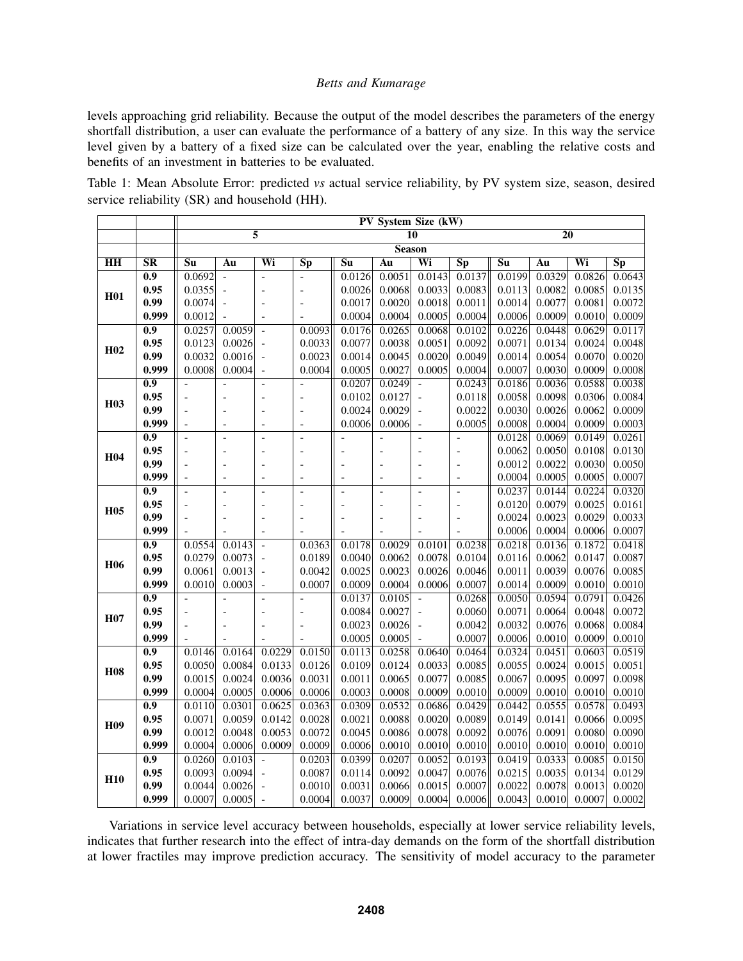levels approaching grid reliability. Because the output of the model describes the parameters of the energy shortfall distribution, a user can evaluate the performance of a battery of any size. In this way the service level given by a battery of a fixed size can be calculated over the year, enabling the relative costs and benefits of an investment in batteries to be evaluated.

Table 1: Mean Absolute Error: predicted *vs* actual service reliability, by PV system size, season, desired service reliability (SR) and household (HH).

|                 |                                                                                        | PV System Size (kW)                                                                    |                                                                                        |                                                                  |                                                                                        |                                                                                        |                                                                                        |                                                                                        |                                                                                        |                                                                                        |                                                                                        |                                                                                        |                                                                                        |
|-----------------|----------------------------------------------------------------------------------------|----------------------------------------------------------------------------------------|----------------------------------------------------------------------------------------|------------------------------------------------------------------|----------------------------------------------------------------------------------------|----------------------------------------------------------------------------------------|----------------------------------------------------------------------------------------|----------------------------------------------------------------------------------------|----------------------------------------------------------------------------------------|----------------------------------------------------------------------------------------|----------------------------------------------------------------------------------------|----------------------------------------------------------------------------------------|----------------------------------------------------------------------------------------|
|                 |                                                                                        | 5<br>10<br>$\overline{20}$                                                             |                                                                                        |                                                                  |                                                                                        |                                                                                        |                                                                                        |                                                                                        |                                                                                        |                                                                                        |                                                                                        |                                                                                        |                                                                                        |
|                 |                                                                                        | <b>Season</b>                                                                          |                                                                                        |                                                                  |                                                                                        |                                                                                        |                                                                                        |                                                                                        |                                                                                        |                                                                                        |                                                                                        |                                                                                        |                                                                                        |
| $\overline{HH}$ | $S_{\rm R}$                                                                            | Su                                                                                     | Au                                                                                     | Wi                                                               | <b>Sp</b>                                                                              | $\overline{\mathbf{S}}$ u                                                              | Au                                                                                     | Wi                                                                                     | Sp                                                                                     | Su                                                                                     | Au                                                                                     | Wi                                                                                     | <b>Sp</b>                                                                              |
| H <sub>01</sub> | $\overline{0.9}$                                                                       | 0.0692                                                                                 | $\overline{a}$                                                                         |                                                                  | $\blacksquare$                                                                         | 0.0126                                                                                 | 0.0051                                                                                 | 0.0143                                                                                 | 0.0137                                                                                 | 0.0199                                                                                 | 0.0329                                                                                 | 0.0826                                                                                 | 0.0643                                                                                 |
|                 | 0.95                                                                                   | 0.0355                                                                                 | $\overline{a}$                                                                         |                                                                  | Ĭ.                                                                                     | 0.0026                                                                                 | 0.0068                                                                                 | 0.0033                                                                                 | 0.0083                                                                                 | 0.0113                                                                                 | 0.0082                                                                                 | 0.0085                                                                                 | 0.0135                                                                                 |
|                 | 0.99                                                                                   | 0.0074                                                                                 | $\overline{\phantom{a}}$                                                               | $\overline{\phantom{a}}$                                         | $\overline{\phantom{a}}$                                                               | 0.0017                                                                                 | 0.0020                                                                                 | 0.0018                                                                                 | 0.0011                                                                                 | 0.0014                                                                                 | 0.0077                                                                                 | 0.0081                                                                                 | 0.0072                                                                                 |
|                 | 0.999                                                                                  | 0.0012                                                                                 |                                                                                        |                                                                  |                                                                                        | 0.0004                                                                                 | 0.0004                                                                                 | 0.0005                                                                                 | 0.0004                                                                                 | 0.0006                                                                                 | 0.0009                                                                                 | 0.0010                                                                                 | 0.0009                                                                                 |
| H <sub>02</sub> | $\overline{0.9}$                                                                       | 0.0257                                                                                 | 0.0059                                                                                 | $\overline{a}$                                                   | 0.0093                                                                                 | 0.0176                                                                                 | 0.0265                                                                                 | 0.0068                                                                                 | 0.0102                                                                                 | 0.0226                                                                                 | 0.0448                                                                                 | 0.0629                                                                                 | 0.0117                                                                                 |
|                 | 0.95                                                                                   | 0.0123                                                                                 | 0.0026                                                                                 | $\overline{\phantom{a}}$                                         | 0.0033                                                                                 | 0.0077                                                                                 | 0.0038                                                                                 | 0.0051                                                                                 | 0.0092                                                                                 | 0.0071                                                                                 | 0.0134                                                                                 | 0.0024                                                                                 | 0.0048                                                                                 |
|                 | 0.99                                                                                   | 0.0032                                                                                 | 0.0016                                                                                 | $\overline{\phantom{a}}$                                         | 0.0023                                                                                 | 0.0014                                                                                 | 0.0045                                                                                 | 0.0020                                                                                 | 0.0049                                                                                 | 0.0014                                                                                 | 0.0054                                                                                 | 0.0070                                                                                 | 0.0020                                                                                 |
|                 | 0.999                                                                                  | 0.0008                                                                                 | 0.0004                                                                                 | ÷,                                                               | 0.0004                                                                                 | 0.0005                                                                                 | 0.0027                                                                                 | 0.0005                                                                                 | 0.0004                                                                                 | 0.0007                                                                                 | 0.0030                                                                                 | 0.0009                                                                                 | 0.0008                                                                                 |
| H <sub>03</sub> | $\overline{0.9}$                                                                       | $\overline{a}$                                                                         | $\equiv$                                                                               | $\overline{a}$                                                   | $\overline{a}$                                                                         | 0.0207                                                                                 | 0.0249                                                                                 | $\frac{1}{2}$                                                                          | 0.0243                                                                                 | 0.0186                                                                                 | 0.0036                                                                                 | 0.0588                                                                                 | 0.0038                                                                                 |
|                 | 0.95                                                                                   | Ĭ.                                                                                     | ÷,                                                                                     |                                                                  | ÷,                                                                                     | 0.0102                                                                                 | 0.0127                                                                                 | $\blacksquare$                                                                         | 0.0118                                                                                 | 0.0058                                                                                 | 0.0098                                                                                 | 0.0306                                                                                 | 0.0084                                                                                 |
|                 | 0.99                                                                                   | $\overline{a}$                                                                         |                                                                                        |                                                                  | L.                                                                                     | 0.0024                                                                                 | 0.0029                                                                                 | $\blacksquare$                                                                         | 0.0022                                                                                 | 0.0030                                                                                 | 0.0026                                                                                 | 0.0062                                                                                 | 0.0009                                                                                 |
|                 | 0.999                                                                                  | $\overline{a}$                                                                         | $\overline{a}$                                                                         |                                                                  | $\overline{\phantom{a}}$                                                               | 0.0006                                                                                 | 0.0006                                                                                 | $\overline{\phantom{a}}$                                                               | 0.0005                                                                                 | 0.0008                                                                                 | 0.0004                                                                                 | 0.0009                                                                                 | 0.0003                                                                                 |
| H <sub>04</sub> | $\overline{0.9}$                                                                       | $\overline{a}$                                                                         | $\overline{a}$                                                                         | $\overline{a}$                                                   | $\overline{a}$                                                                         | $\overline{a}$                                                                         |                                                                                        | $\overline{a}$                                                                         | $\overline{a}$                                                                         | 0.0128                                                                                 | 0.0069                                                                                 | 0.0149                                                                                 | 0.0261                                                                                 |
|                 | 0.95                                                                                   | $\overline{a}$                                                                         | $\overline{\phantom{a}}$                                                               |                                                                  |                                                                                        |                                                                                        |                                                                                        |                                                                                        | $\overline{\phantom{a}}$                                                               | 0.0062                                                                                 | 0.0050                                                                                 | 0.0108                                                                                 | 0.0130                                                                                 |
|                 | 0.99                                                                                   |                                                                                        |                                                                                        |                                                                  |                                                                                        |                                                                                        |                                                                                        |                                                                                        | ÷,                                                                                     | 0.0012                                                                                 | 0.0022                                                                                 | 0.0030                                                                                 | 0.0050                                                                                 |
|                 | 0.999                                                                                  | $\overline{a}$                                                                         | $\sim$                                                                                 | Ĭ.                                                               | $\overline{a}$                                                                         | $\overline{a}$                                                                         | $\overline{a}$                                                                         | $\overline{a}$                                                                         | $\overline{a}$                                                                         | 0.0004                                                                                 | 0.0005                                                                                 | 0.0005                                                                                 | 0.0007                                                                                 |
| H <sub>05</sub> | $\overline{0.9}$                                                                       | $\overline{a}$                                                                         | $\overline{\phantom{a}}$                                                               | Ĭ.                                                               | Ĭ.                                                                                     | Ĭ.                                                                                     | $\overline{a}$                                                                         | ÷,                                                                                     | $\overline{a}$                                                                         | 0.0237                                                                                 | 0.0144                                                                                 | 0.0224                                                                                 | 0.0320                                                                                 |
|                 | 0.95                                                                                   | $\overline{a}$                                                                         |                                                                                        |                                                                  |                                                                                        |                                                                                        |                                                                                        |                                                                                        | $\overline{a}$                                                                         | 0.0120                                                                                 | 0.0079                                                                                 | 0.0025                                                                                 | 0.0161                                                                                 |
|                 | 0.99                                                                                   |                                                                                        |                                                                                        | ٠.                                                               |                                                                                        | ÷                                                                                      |                                                                                        |                                                                                        | $\overline{a}$                                                                         | 0.0024                                                                                 | 0.0023                                                                                 | 0.0029                                                                                 | 0.0033                                                                                 |
|                 | 0.999                                                                                  |                                                                                        |                                                                                        |                                                                  |                                                                                        |                                                                                        |                                                                                        |                                                                                        |                                                                                        | 0.0006                                                                                 | 0.0004                                                                                 | 0.0006                                                                                 | 0.0007                                                                                 |
| H <sub>06</sub> | $\overline{0.9}$                                                                       | 0.0554                                                                                 | 0.0143                                                                                 | $\overline{\phantom{a}}$                                         | 0.0363                                                                                 | 0.0178                                                                                 | 0.0029                                                                                 | 0.0101                                                                                 | 0.0238                                                                                 | 0.0218                                                                                 | 0.0136                                                                                 | 0.1872                                                                                 | 0.0418                                                                                 |
|                 | 0.95                                                                                   | 0.0279                                                                                 | 0.0073                                                                                 | $\overline{a}$                                                   | 0.0189                                                                                 | 0.0040                                                                                 | 0.0062                                                                                 | 0.0078                                                                                 | 0.0104                                                                                 | 0.0116                                                                                 | 0.0062                                                                                 | 0.0147                                                                                 | 0.0087                                                                                 |
|                 | 0.99                                                                                   | 0.0061                                                                                 | 0.0013                                                                                 | $\overline{\phantom{a}}$                                         | 0.0042                                                                                 | 0.0025                                                                                 | 0.0023                                                                                 | 0.0026                                                                                 | 0.0046                                                                                 | 0.0011                                                                                 | 0.0039                                                                                 | 0.0076                                                                                 | 0.0085                                                                                 |
|                 | 0.999                                                                                  | 0.0010                                                                                 | 0.0003                                                                                 |                                                                  | 0.0007                                                                                 | 0.0009                                                                                 | 0.0004                                                                                 | 0.0006                                                                                 | 0.0007                                                                                 | 0.0014                                                                                 | 0.0009                                                                                 | 0.0010                                                                                 | 0.0010                                                                                 |
| H <sub>07</sub> | $\overline{0.9}$                                                                       |                                                                                        |                                                                                        | $\overline{a}$                                                   |                                                                                        | 0.0137                                                                                 | 0.0105                                                                                 | $\overline{\phantom{0}}$                                                               | 0.0268                                                                                 | 0.0050                                                                                 | 0.0594                                                                                 | 0.0791                                                                                 | 0.0426                                                                                 |
|                 | 0.95                                                                                   | $\qquad \qquad -$                                                                      | ÷,                                                                                     |                                                                  | ÷,                                                                                     | 0.0084                                                                                 | 0.0027                                                                                 | $\blacksquare$                                                                         | 0.0060                                                                                 | 0.0071                                                                                 | 0.0064                                                                                 | 0.0048                                                                                 | 0.0072                                                                                 |
|                 | 0.99<br>0.999                                                                          |                                                                                        |                                                                                        |                                                                  | Ĭ.                                                                                     | 0.0023                                                                                 | 0.0026                                                                                 | $\overline{\phantom{a}}$                                                               | 0.0042                                                                                 | 0.0032                                                                                 | 0.0076                                                                                 | 0.0068                                                                                 | 0.0084                                                                                 |
|                 | $\overline{0.9}$                                                                       |                                                                                        |                                                                                        |                                                                  |                                                                                        | 0.0005                                                                                 | 0.0005                                                                                 |                                                                                        | 0.0007                                                                                 | 0.0006                                                                                 | 0.0010                                                                                 | 0.0009                                                                                 | 0.0010                                                                                 |
| H <sub>08</sub> | 0.95                                                                                   | 0.0146<br>0.0050                                                                       | 0.0164<br>0.0084                                                                       | 0.0229<br>0.0133                                                 | 0.0150<br>0.0126                                                                       | 0.0113<br>0.0109                                                                       | 0.0258<br>0.0124                                                                       | 0.0640<br>0.0033                                                                       | 0.0464<br>0.0085                                                                       | 0.0324<br>0.0055                                                                       | 0.0451<br>0.0024                                                                       | 0.0603<br>0.0015                                                                       | 0.0519<br>0.0051                                                                       |
|                 | 0.99                                                                                   | 0.0015                                                                                 | 0.0024                                                                                 | 0.0036                                                           | 0.0031                                                                                 | 0.0011                                                                                 | 0.0065                                                                                 | 0.0077                                                                                 | 0.0085                                                                                 | 0.0067                                                                                 | 0.0095                                                                                 | 0.0097                                                                                 | 0.0098                                                                                 |
|                 | 0.999                                                                                  |                                                                                        |                                                                                        |                                                                  |                                                                                        |                                                                                        |                                                                                        |                                                                                        |                                                                                        |                                                                                        |                                                                                        |                                                                                        |                                                                                        |
| H <sub>09</sub> |                                                                                        |                                                                                        |                                                                                        |                                                                  |                                                                                        |                                                                                        |                                                                                        |                                                                                        |                                                                                        |                                                                                        |                                                                                        |                                                                                        |                                                                                        |
|                 |                                                                                        |                                                                                        |                                                                                        |                                                                  |                                                                                        |                                                                                        |                                                                                        |                                                                                        |                                                                                        |                                                                                        |                                                                                        |                                                                                        |                                                                                        |
|                 |                                                                                        |                                                                                        |                                                                                        |                                                                  |                                                                                        |                                                                                        |                                                                                        |                                                                                        |                                                                                        |                                                                                        |                                                                                        |                                                                                        |                                                                                        |
|                 |                                                                                        |                                                                                        |                                                                                        |                                                                  |                                                                                        |                                                                                        |                                                                                        |                                                                                        |                                                                                        |                                                                                        |                                                                                        |                                                                                        |                                                                                        |
| H <sub>10</sub> |                                                                                        |                                                                                        |                                                                                        |                                                                  |                                                                                        |                                                                                        |                                                                                        |                                                                                        |                                                                                        |                                                                                        |                                                                                        |                                                                                        |                                                                                        |
|                 |                                                                                        |                                                                                        |                                                                                        |                                                                  |                                                                                        |                                                                                        |                                                                                        |                                                                                        |                                                                                        |                                                                                        |                                                                                        |                                                                                        |                                                                                        |
|                 |                                                                                        |                                                                                        |                                                                                        |                                                                  |                                                                                        |                                                                                        |                                                                                        |                                                                                        |                                                                                        |                                                                                        |                                                                                        |                                                                                        |                                                                                        |
|                 |                                                                                        |                                                                                        |                                                                                        |                                                                  |                                                                                        |                                                                                        |                                                                                        |                                                                                        |                                                                                        |                                                                                        |                                                                                        |                                                                                        |                                                                                        |
|                 | $\overline{0.9}$<br>0.95<br>0.99<br>0.999<br>$\overline{0.9}$<br>0.95<br>0.99<br>0.999 | 0.0004<br>0.0110<br>0.0071<br>0.0012<br>0.0004<br>0.0260<br>0.0093<br>0.0044<br>0.0007 | 0.0005<br>0.0301<br>0.0059<br>0.0048<br>0.0006<br>0.0103<br>0.0094<br>0.0026<br>0.0005 | 0.0006<br>0.0625<br>0.0142<br>0.0053<br>0.0009<br>$\overline{a}$ | 0.0006<br>0.0363<br>0.0028<br>0.0072<br>0.0009<br>0.0203<br>0.0087<br>0.0010<br>0.0004 | 0.0003<br>0.0309<br>0.0021<br>0.0045<br>0.0006<br>0.0399<br>0.0114<br>0.0031<br>0.0037 | 0.0008<br>0.0532<br>0.0088<br>0.0086<br>0.0010<br>0.0207<br>0.0092<br>0.0066<br>0.0009 | 0.0009<br>0.0686<br>0.0020<br>0.0078<br>0.0010<br>0.0052<br>0.0047<br>0.0015<br>0.0004 | 0.0010<br>0.0429<br>0.0089<br>0.0092<br>0.0010<br>0.0193<br>0.0076<br>0.0007<br>0.0006 | 0.0009<br>0.0442<br>0.0149<br>0.0076<br>0.0010<br>0.0419<br>0.0215<br>0.0022<br>0.0043 | 0.0010<br>0.0555<br>0.0141<br>0.0091<br>0.0010<br>0.0333<br>0.0035<br>0.0078<br>0.0010 | 0.0010<br>0.0578<br>0.0066<br>0.0080<br>0.0010<br>0.0085<br>0.0134<br>0.0013<br>0.0007 | 0.0010<br>0.0493<br>0.0095<br>0.0090<br>0.0010<br>0.0150<br>0.0129<br>0.0020<br>0.0002 |

Variations in service level accuracy between households, especially at lower service reliability levels, indicates that further research into the effect of intra-day demands on the form of the shortfall distribution at lower fractiles may improve prediction accuracy. The sensitivity of model accuracy to the parameter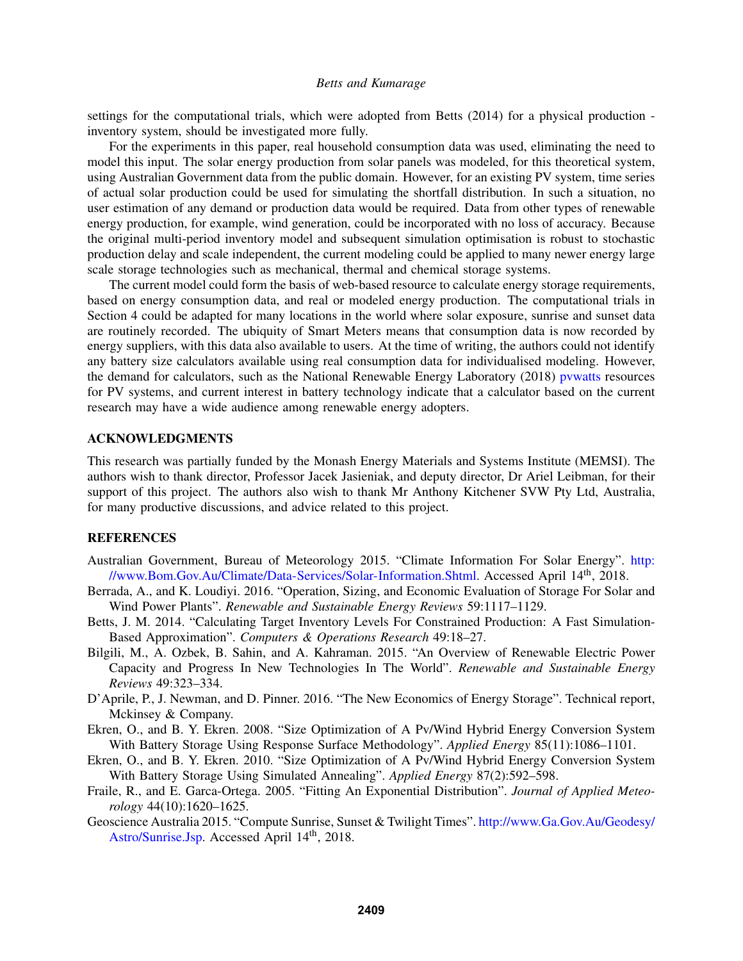settings for the computational trials, which were adopted from Betts (2014) for a physical production inventory system, should be investigated more fully.

For the experiments in this paper, real household consumption data was used, eliminating the need to model this input. The solar energy production from solar panels was modeled, for this theoretical system, using Australian Government data from the public domain. However, for an existing PV system, time series of actual solar production could be used for simulating the shortfall distribution. In such a situation, no user estimation of any demand or production data would be required. Data from other types of renewable energy production, for example, wind generation, could be incorporated with no loss of accuracy. Because the original multi-period inventory model and subsequent simulation optimisation is robust to stochastic production delay and scale independent, the current modeling could be applied to many newer energy large scale storage technologies such as mechanical, thermal and chemical storage systems.

The current model could form the basis of web-based resource to calculate energy storage requirements, based on energy consumption data, and real or modeled energy production. The computational trials in Section 4 could be adapted for many locations in the world where solar exposure, sunrise and sunset data are routinely recorded. The ubiquity of Smart Meters means that consumption data is now recorded by energy suppliers, with this data also available to users. At the time of writing, the authors could not identify any battery size calculators available using real consumption data for individualised modeling. However, the demand for calculators, such as the National Renewable Energy Laboratory (2018) pvwatts resources for PV systems, and current interest in battery technology indicate that a calculator based on the current research may have a wide audience among renewable energy adopters.

### ACKNOWLEDGMENTS

This research was partially funded by the Monash Energy Materials and Systems Institute (MEMSI). The authors wish to thank director, Professor Jacek Jasieniak, and deputy director, Dr Ariel Leibman, for their support of this project. The authors also wish to thank Mr Anthony Kitchener SVW Pty Ltd, Australia, for many productive discussions, and advice related to this project.

#### REFERENCES

- Australian Government, Bureau of Meteorology 2015. "Climate Information For Solar Energy". http: //www.Bom.Gov.Au/Climate/Data-Services/Solar-Information.Shtml. Accessed April 14th, 2018.
- Berrada, A., and K. Loudiyi. 2016. "Operation, Sizing, and Economic Evaluation of Storage For Solar and Wind Power Plants". *Renewable and Sustainable Energy Reviews* 59:1117–1129.
- Betts, J. M. 2014. "Calculating Target Inventory Levels For Constrained Production: A Fast Simulation-Based Approximation". *Computers & Operations Research* 49:18–27.
- Bilgili, M., A. Ozbek, B. Sahin, and A. Kahraman. 2015. "An Overview of Renewable Electric Power Capacity and Progress In New Technologies In The World". *Renewable and Sustainable Energy Reviews* 49:323–334.
- D'Aprile, P., J. Newman, and D. Pinner. 2016. "The New Economics of Energy Storage". Technical report, Mckinsey & Company.
- Ekren, O., and B. Y. Ekren. 2008. "Size Optimization of A Pv/Wind Hybrid Energy Conversion System With Battery Storage Using Response Surface Methodology". *Applied Energy* 85(11):1086–1101.
- Ekren, O., and B. Y. Ekren. 2010. "Size Optimization of A Pv/Wind Hybrid Energy Conversion System With Battery Storage Using Simulated Annealing". *Applied Energy* 87(2):592–598.
- Fraile, R., and E. Garca-Ortega. 2005. "Fitting An Exponential Distribution". *Journal of Applied Meteorology* 44(10):1620–1625.
- Geoscience Australia 2015. "Compute Sunrise, Sunset & Twilight Times". http://www.Ga.Gov.Au/Geodesy/ Astro/Sunrise.Jsp. Accessed April 14<sup>th</sup>, 2018.